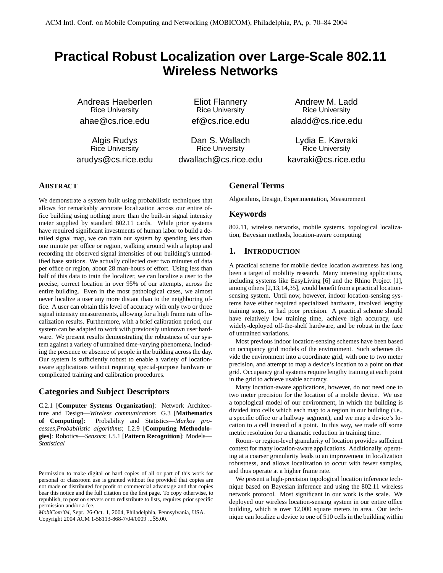# **Practical Robust Localization over Large-Scale 802.11 Wireless Networks**

Andreas Haeberlen Rice University ahae@cs.rice.edu

Algis Rudys Rice University arudys@cs.rice.edu

Eliot Flannery Rice University ef@cs.rice.edu

Dan S. Wallach Rice University dwallach@cs.rice.edu

Andrew M. Ladd Rice University aladd@cs.rice.edu

Lydia E. Kavraki Rice University kavraki@cs.rice.edu

# **ABSTRACT**

We demonstrate a system built using probabilistic techniques that allows for remarkably accurate localization across our entire office building using nothing more than the built-in signal intensity meter supplied by standard 802.11 cards. While prior systems have required significant investments of human labor to build a detailed signal map, we can train our system by spending less than one minute per office or region, walking around with a laptop and recording the observed signal intensities of our building's unmodified base stations. We actually collected over two minutes of data per office or region, about 28 man-hours of effort. Using less than half of this data to train the localizer, we can localize a user to the precise, correct location in over 95% of our attempts, across the entire building. Even in the most pathological cases, we almost never localize a user any more distant than to the neighboring office. A user can obtain this level of accuracy with only two or three signal intensity measurements, allowing for a high frame rate of localization results. Furthermore, with a brief calibration period, our system can be adapted to work with previously unknown user hardware. We present results demonstrating the robustness of our system against a variety of untrained time-varying phenomena, including the presence or absence of people in the building across the day. Our system is sufficiently robust to enable a variety of locationaware applications without requiring special-purpose hardware or complicated training and calibration procedures.

# **Categories and Subject Descriptors**

C.2.1 [**Computer Systems Organization**]: Network Architecture and Design—*Wireless communication*; G.3 [**Mathematics of Computing**]: Probability and Statistics—*Markov processes,Probabilistic algorithms*; I.2.9 [**Computing Methodologies**]: Robotics—*Sensors*; I.5.1 [**Pattern Recognition**]: Models— *Statistical*

*MobiCom'04,* Sept. 26-Oct. 1, 2004, Philadelphia, Pennsylvania, USA. Copyright 2004 ACM 1-58113-868-7/04/0009 ...\$5.00.

#### **General Terms**

Algorithms, Design, Experimentation, Measurement

## **Keywords**

802.11, wireless networks, mobile systems, topological localization, Bayesian methods, location-aware computing

# **1. INTRODUCTION**

A practical scheme for mobile device location awareness has long been a target of mobility research. Many interesting applications, including systems like EasyLiving [6] and the Rhino Project [1], among others [2,13,14,35], would benefit from a practical locationsensing system. Until now, however, indoor location-sensing systems have either required specialized hardware, involved lengthy training steps, or had poor precision. A practical scheme should have relatively low training time, achieve high accuracy, use widely-deployed off-the-shelf hardware, and be robust in the face of untrained variations.

Most previous indoor location-sensing schemes have been based on occupancy grid models of the environment. Such schemes divide the environment into a coordinate grid, with one to two meter precision, and attempt to map a device's location to a point on that grid. Occupancy grid systems require lengthy training at each point in the grid to achieve usable accuracy.

Many location-aware applications, however, do not need one to two meter precision for the location of a mobile device. We use a topological model of our environment, in which the building is divided into cells which each map to a region in our building (i.e., a specific office or a hallway segment), and we map a device's location to a cell instead of a point. In this way, we trade off some metric resolution for a dramatic reduction in training time.

Room- or region-level granularity of location provides sufficient context for many location-aware applications. Additionally, operating at a coarser granularity leads to an improvement in localization robustness, and allows localization to occur with fewer samples, and thus operate at a higher frame rate.

We present a high-precision topological location inference technique based on Bayesian inference and using the 802.11 wireless network protocol. Most significant in our work is the scale. We deployed our wireless location-sensing system in our entire office building, which is over 12,000 square meters in area. Our technique can localize a device to one of 510 cells in the building within

Permission to make digital or hard copies of all or part of this work for personal or classroom use is granted without fee provided that copies are not made or distributed for profit or commercial advantage and that copies bear this notice and the full citation on the first page. To copy otherwise, to republish, to post on servers or to redistribute to lists, requires prior specific permission and/or a fee.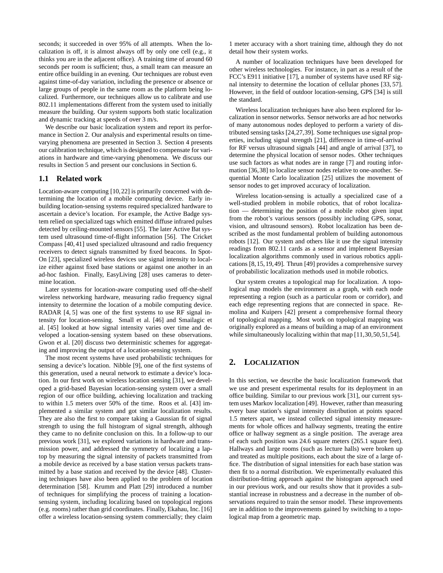seconds; it succeeded in over 95% of all attempts. When the localization is off, it is almost always off by only one cell (e.g., it thinks you are in the adjacent office). A training time of around 60 seconds per room is sufficient; thus, a small team can measure an entire office building in an evening. Our techniques are robust even against time-of-day variation, including the presence or absence or large groups of people in the same room as the platform being localized. Furthermore, our techniques allow us to calibrate and use 802.11 implementations different from the system used to initially measure the building. Our system supports both static localization and dynamic tracking at speeds of over 3 m/s.

We describe our basic localization system and report its performance in Section 2. Our analysis and experimental results on timevarying phenomena are presented in Section 3. Section 4 presents our calibration technique, which is designed to compensate for variations in hardware and time-varying phenomena. We discuss our results in Section 5 and present our conclusions in Section 6.

#### **1.1 Related work**

Location-aware computing [10,22] is primarily concerned with determining the location of a mobile computing device. Early inbuilding location-sensing systems required specialized hardware to ascertain a device's location. For example, the Active Badge system relied on specialized tags which emitted diffuse infrared pulses detected by ceiling-mounted sensors [55]. The later Active Bat system used ultrasound time-of-flight information [56]. The Cricket Compass [40, 41] used specialized ultrasound and radio frequency receivers to detect signals transmitted by fixed beacons. In Spot-On [23], specialized wireless devices use signal intensity to localize either against fixed base stations or against one another in an ad-hoc fashion. Finally, EasyLiving [28] uses cameras to determine location.

Later systems for location-aware computing used off-the-shelf wireless networking hardware, measuring radio frequency signal intensity to determine the location of a mobile computing device. RADAR [4, 5] was one of the first systems to use RF signal intensity for location-sensing. Small et al. [46] and Smailagic et al. [45] looked at how signal intensity varies over time and developed a location-sensing system based on these observations. Gwon et al. [20] discuss two deterministic schemes for aggregating and improving the output of a location-sensing system.

The most recent systems have used probabilistic techniques for sensing a device's location. Nibble [9], one of the first systems of this generation, used a neural network to estimate a device's location. In our first work on wireless location sensing [31], we developed a grid-based Bayesian location-sensing system over a small region of our office building, achieving localization and tracking to within 1.5 meters over 50% of the time. Roos et al. [43] implemented a similar system and got similar localization results. They are also the first to compare taking a Gaussian fit of signal strength to using the full histogram of signal strength, although they came to no definite conclusion on this. In a follow-up to our previous work [31], we explored variations in hardware and transmission power, and addressed the symmetry of localizing a laptop by measuring the signal intensity of packets transmitted from a mobile device as received by a base station versus packets transmitted by a base station and received by the device [48]. Clustering techniques have also been applied to the problem of location determination [58]. Krumm and Platt [29] introduced a number of techniques for simplifying the process of training a locationsensing system, including localizing based on topological regions (e.g. rooms) rather than grid coordinates. Finally, Ekahau, Inc. [16] offer a wireless location-sensing system commercially; they claim

1 meter accuracy with a short training time, although they do not detail how their system works.

A number of localization techniques have been developed for other wireless technologies. For instance, in part as a result of the FCC's E911 initiative [17], a number of systems have used RF signal intensity to determine the location of cellular phones [33, 57]. However, in the field of outdoor location-sensing, GPS [34] is still the standard.

Wireless localization techniques have also been explored for localization in sensor networks. Sensor networks are ad hoc networks of many autonomous nodes deployed to perform a variety of distributed sensing tasks [24,27,39]. Some techniques use signal properties, including signal strength [21], difference in time-of-arrival for RF versus ultrasound signals [44] and angle of arrival [37], to determine the physical location of sensor nodes. Other techniques use such factors as what nodes are in range [7] and routing information [36,38] to localize sensor nodes relative to one-another. Sequential Monte Carlo localization [25] utilizes the movement of sensor nodes to get improved accuracy of localization.

Wireless location-sensing is actually a specialized case of a well-studied problem in mobile robotics, that of robot localization — determining the position of a mobile robot given input from the robot's various sensors (possibly including GPS, sonar, vision, and ultrasound sensors). Robot localization has been described as the most fundamental problem of building autonomous robots [12]. Our system and others like it use the signal intensity readings from 802.11 cards as a sensor and implement Bayesian localization algorithms commonly used in various robotics applications [8, 15, 19, 49]. Thrun [49] provides a comprehensive survey of probabilistic localization methods used in mobile robotics.

Our system creates a topological map for localization. A topological map models the environment as a graph, with each node representing a region (such as a particular room or corridor), and each edge representing regions that are connected in space. Remolina and Kuipers [42] present a comprehensive formal theory of topological mapping. Most work on topological mapping was originally explored as a means of building a map of an environment while simultaneously localizing within that map [11,30,50,51,54].

# **2. LOCALIZATION**

In this section, we describe the basic localization framework that we use and present experimental results for its deployment in an office building. Similar to our previous work [31], our current system uses Markov localization [49]. However, rather than measuring every base station's signal intensity distribution at points spaced 1.5 meters apart, we instead collected signal intensity measurements for whole offices and hallway segments, treating the entire office or hallway segment as a single position. The average area of each such position was 24.6 square meters (265.1 square feet). Hallways and large rooms (such as lecture halls) were broken up and treated as multiple positions, each about the size of a large office. The distribution of signal intensities for each base station was then fit to a normal distribution. We experimentally evaluated this distribution-fitting approach against the histogram approach used in our previous work, and our results show that it provides a substantial increase in robustness and a decrease in the number of observations required to train the sensor model. These improvements are in addition to the improvements gained by switching to a topological map from a geometric map.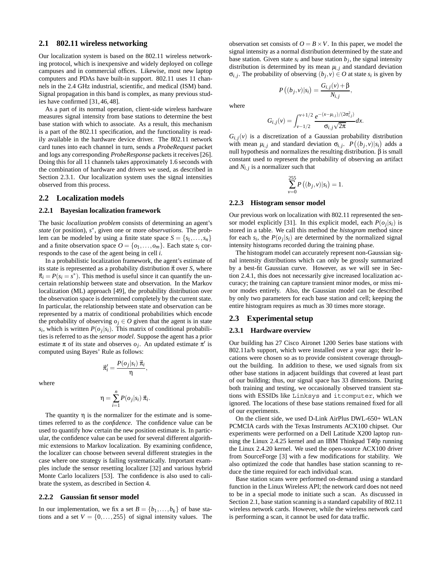#### **2.1 802.11 wireless networking**

Our localization system is based on the 802.11 wireless networking protocol, which is inexpensive and widely deployed on college campuses and in commercial offices. Likewise, most new laptop computers and PDAs have built-in support. 802.11 uses 11 channels in the 2.4 GHz industrial, scientific, and medical (ISM) band. Signal propagation in this band is complex, as many previous studies have confirmed [31, 46, 48].

As a part of its normal operation, client-side wireless hardware measures signal intensity from base stations to determine the best base station with which to associate. As a result, this mechanism is a part of the 802.11 specification, and the functionality is readily available in the hardware device driver. The 802.11 network card tunes into each channel in turn, sends a *ProbeRequest* packet and logs any corresponding *ProbeResponse* packets it receives [26]. Doing this for all 11 channels takes approximately 1.6 seconds with the combination of hardware and drivers we used, as described in Section 2.3.1. Our localization system uses the signal intensities observed from this process.

#### **2.2 Localization models**

#### **2.2.1 Bayesian localization framework**

The basic *localization problem* consists of determining an agent's *state* (or position), *s*∗, given one or more *observations*. The problem can be modeled by using a finite state space  $S = \{s_1, \ldots, s_n\}$ and a finite observation space  $O = \{o_1, \ldots, o_m\}$ . Each state  $s_i$  corresponds to the case of the agent being in cell *i*.

In a probabilistic localization framework, the agent's estimate of its state is represented as a probability distribution  $\vec{\pi}$  over *S*, where  $\vec{\pi}_i = P(s_i = s^*)$ . This method is useful since it can quantify the uncertain relationship between state and observation. In the Markov localization (ML) approach [49], the probability distribution over the observation space is determined completely by the current state. In particular, the relationship between state and observation can be represented by a matrix of conditional probabilities which encode the probability of observing  $o_j \in O$  given that the agent is in state  $s_i$ , which is written  $P(o_j|s_i)$ . This matrix of conditional probabilities is referred to as the *sensor model*. Suppose the agent has a prior estimate  $\pi$  of its state and observes  $o_i$ . An updated estimate  $\pi'$  is computed using Bayes' Rule as follows:

$$
f_{\rm{max}}
$$

where

 $\eta = \sum_{i=1}^n$  $P(o_j|s_i) \, \vec{\pi}_i.$ 

 $\vec{\pi}'_i = \frac{P(o_j|s_i) \, \vec{\pi}_i}{\eta},$ 

The quantity  $\eta$  is the normalizer for the estimate and is sometimes referred to as the *confidence*. The confidence value can be used to quantify how certain the new position estimate is. In particular, the confidence value can be used for several different algorithmic extensions to Markov localization. By examining confidence, the localizer can choose between several different strategies in the case where one strategy is failing systematically. Important examples include the sensor resetting localizer [32] and various hybrid Monte Carlo localizers [53]. The confidence is also used to calibrate the system, as described in Section 4.

#### **2.2.2 Gaussian fit sensor model**

In our implementation, we fix a set  $B = \{b_1, \ldots, b_k\}$  of base stations and a set  $V = \{0, \ldots, 255\}$  of signal intensity values. The observation set consists of  $O = B \times V$ . In this paper, we model the signal intensity as a normal distribution determined by the state and base station. Given state  $s_i$  and base station  $b_j$ , the signal intensity distribution is determined by its mean  $\mu_{i,j}$  and standard deviation  $\sigma_{i,j}$ . The probability of observing  $(b_j, v) \in O$  at state  $s_i$  is given by

where

$$
G_{i,j}(v) = \int_{v-1/2}^{v+1/2} \frac{e^{-(x-\mu_{i,j})/(2\sigma_{i,j}^2)}}{\sigma_{i,j}\sqrt{2\pi}} dx.
$$

 $P((b_j, v)|s_i) = \frac{G_{i,j}(v) + \beta}{N_{i,j}},$ 

 $G_{i,i}(v)$  is a discretization of a Gaussian probability distribution with mean  $\mu_{i,j}$  and standard deviation  $\sigma_{i,j}$ .  $P((b_j, v)|s_i)$  adds a null hypothesis and normalizes the resulting distribution.  $β$  is small constant used to represent the probability of observing an artifact and  $N_{i,j}$  is a normalizer such that

$$
\sum_{v=0}^{255} P((b_j,v)|s_i) = 1.
$$

#### **2.2.3 Histogram sensor model**

Our previous work on localization with 802.11 represented the sensor model explicitly [31]. In this explicit model, each  $P(o_i|s_i)$  is stored in a table. We call this method the *histogram* method since for each  $s_i$ , the  $P(o_j|s_i)$  are determined by the normalized signal intensity histograms recorded during the training phase.

The histogram model can accurately represent non-Gaussian signal intensity distributions which can only be grossly summarized by a best-fit Gaussian curve. However, as we will see in Section 2.4.1, this does not necessarily give increased localization accuracy; the training can capture transient minor modes, or miss minor modes entirely. Also, the Gaussian model can be described by only two parameters for each base station and cell; keeping the entire histogram requires as much as 30 times more storage.

#### **2.3 Experimental setup**

## **2.3.1 Hardware overview**

Our building has 27 Cisco Aironet 1200 Series base stations with 802.11a/b support, which were installed over a year ago; their locations were chosen so as to provide consistent coverage throughout the building. In addition to these, we used signals from six other base stations in adjacent buildings that covered at least part of our building; thus, our signal space has 33 dimensions. During both training and testing, we occasionally observed transient stations with ESSIDs like Linksys and itcomputer, which we ignored. The locations of these base stations remained fixed for all of our experiments.

On the client side, we used D-Link AirPlus DWL-650+ WLAN PCMCIA cards with the Texas Instruments ACX100 chipset. Our experiments were performed on a Dell Latitude X200 laptop running the Linux 2.4.25 kernel and an IBM Thinkpad T40p running the Linux 2.4.20 kernel. We used the open-source ACX100 driver from SourceForge [3] with a few modifications for stability. We also optimized the code that handles base station scanning to reduce the time required for each individual scan.

Base station scans were performed on-demand using a standard function in the Linux Wireless API; the network card does not need to be in a special mode to initiate such a scan. As discussed in Section 2.1, base station scanning is a standard capability of 802.11 wireless network cards. However, while the wireless network card is performing a scan, it cannot be used for data traffic.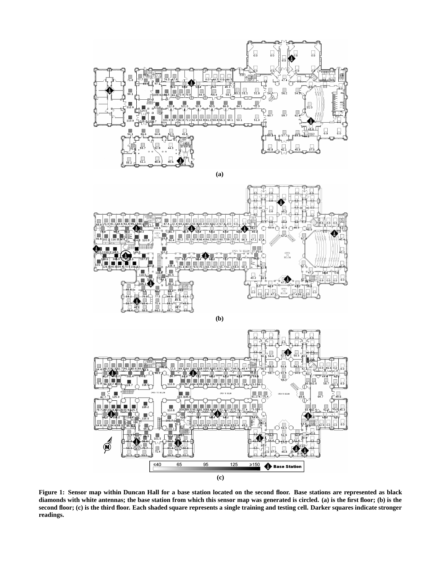

**(a)**



**(b)**



**Figure 1: Sensor map within Duncan Hall for a base station located on the second floor. Base stations are represented as black diamonds with white antennas; the base station from which this sensor map was generated is circled. (a) is the first floor; (b) is the second floor; (c) is the third floor. Each shaded square represents a single training and testing cell. Darker squares indicate stronger readings.**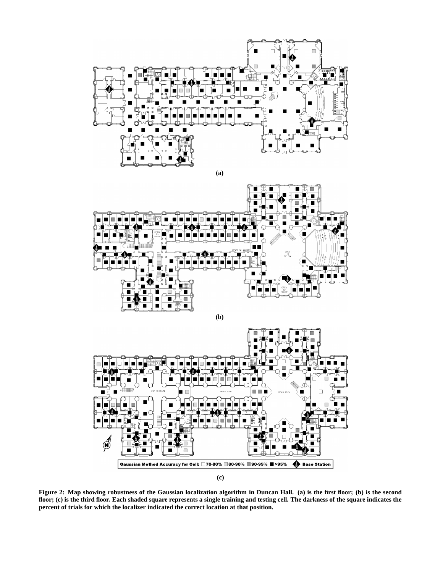



**(b)**



**Figure 2: Map showing robustness of the Gaussian localization algorithm in Duncan Hall. (a) is the first floor; (b) is the second floor; (c) is the third floor. Each shaded square represents a single training and testing cell. The darkness of the square indicates the percent of trials for which the localizer indicated the correct location at that position.**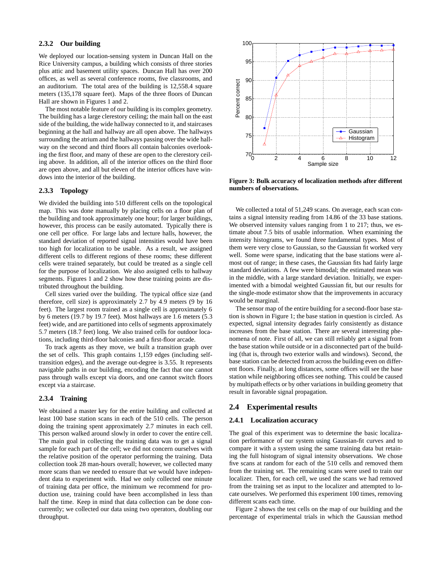## **2.3.2 Our building**

We deployed our location-sensing system in Duncan Hall on the Rice University campus, a building which consists of three stories plus attic and basement utility spaces. Duncan Hall has over 200 offices, as well as several conference rooms, five classrooms, and an auditorium. The total area of the building is 12,558.4 square meters (135,178 square feet). Maps of the three floors of Duncan Hall are shown in Figures 1 and 2.

The most notable feature of our building is its complex geometry. The building has a large clerestory ceiling; the main hall on the east side of the building, the wide hallway connected to it, and staircases beginning at the hall and hallway are all open above. The hallways surrounding the atrium and the hallways passing over the wide hallway on the second and third floors all contain balconies overlooking the first floor, and many of these are open to the clerestory ceiling above. In addition, all of the interior offices on the third floor are open above, and all but eleven of the interior offices have windows into the interior of the building.

## **2.3.3 Topology**

We divided the building into 510 different cells on the topological map. This was done manually by placing cells on a floor plan of the building and took approximately one hour; for larger buildings, however, this process can be easily automated. Typically there is one cell per office. For large labs and lecture halls, however, the standard deviation of reported signal intensities would have been too high for localization to be usable. As a result, we assigned different cells to different regions of these rooms; these different cells were trained separately, but could be treated as a single cell for the purpose of localization. We also assigned cells to hallway segments. Figures 1 and 2 show how these training points are distributed throughout the building.

Cell sizes varied over the building. The typical office size (and therefore, cell size) is approximately 2.7 by 4.9 meters (9 by 16 feet). The largest room trained as a single cell is approximately 6 by 6 meters (19.7 by 19.7 feet). Most hallways are 1.6 meters (5.3 feet) wide, and are partitioned into cells of segments approximately 5.7 meters (18.7 feet) long. We also trained cells for outdoor locations, including third-floor balconies and a first-floor arcade.

To track agents as they move, we built a transition graph over the set of cells. This graph contains 1,159 edges (including selftransition edges), and the average out-degree is 3.55. It represents navigable paths in our building, encoding the fact that one cannot pass through walls except via doors, and one cannot switch floors except via a staircase.

#### **2.3.4 Training**

We obtained a master key for the entire building and collected at least 100 base station scans in each of the 510 cells. The person doing the training spent approximately 2.7 minutes in each cell. This person walked around slowly in order to cover the entire cell. The main goal in collecting the training data was to get a signal sample for each part of the cell; we did not concern ourselves with the relative position of the operator performing the training. Data collection took 28 man-hours overall; however, we collected many more scans than we needed to ensure that we would have independent data to experiment with. Had we only collected one minute of training data per office, the minimum we recommend for production use, training could have been accomplished in less than half the time. Keep in mind that data collection can be done concurrently; we collected our data using two operators, doubling our throughput.



**Figure 3: Bulk accuracy of localization methods after different numbers of observations.**

We collected a total of 51,249 scans. On average, each scan contains a signal intensity reading from 14.86 of the 33 base stations. We observed intensity values ranging from 1 to 217; thus, we estimate about 7.5 bits of usable information. When examining the intensity histograms, we found three fundamental types. Most of them were very close to Gaussian, so the Gaussian fit worked very well. Some were sparse, indicating that the base stations were almost out of range; in these cases, the Gaussian fits had fairly large standard deviations. A few were bimodal; the estimated mean was in the middle, with a large standard deviation. Initially, we experimented with a bimodal weighted Gaussian fit, but our results for the single-mode estimator show that the improvements in accuracy would be marginal.

The sensor map of the entire building for a second-floor base station is shown in Figure 1; the base station in question is circled. As expected, signal intensity degrades fairly consistently as distance increases from the base station. There are several interesting phenomena of note. First of all, we can still reliably get a signal from the base station while outside or in a disconnected part of the building (that is, through two exterior walls and windows). Second, the base station can be detected from across the building even on different floors. Finally, at long distances, some offices will see the base station while neighboring offices see nothing. This could be caused by multipath effects or by other variations in building geometry that result in favorable signal propagation.

# **2.4 Experimental results**

## **2.4.1 Localization accuracy**

The goal of this experiment was to determine the basic localization performance of our system using Gaussian-fit curves and to compare it with a system using the same training data but retaining the full histogram of signal intensity observations. We chose five scans at random for each of the 510 cells and removed them from the training set. The remaining scans were used to train our localizer. Then, for each cell, we used the scans we had removed from the training set as input to the localizer and attempted to locate ourselves. We performed this experiment 100 times, removing different scans each time.

Figure 2 shows the test cells on the map of our building and the percentage of experimental trials in which the Gaussian method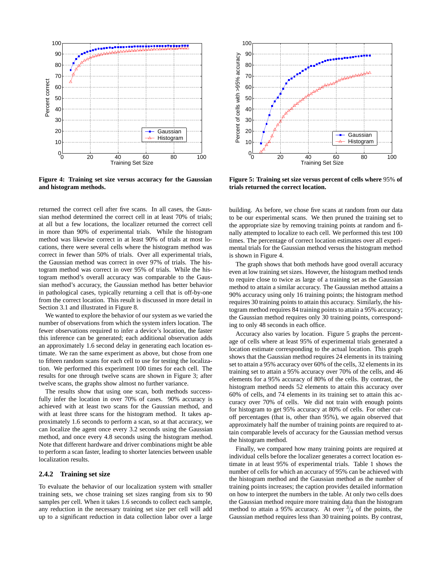

**Figure 4: Training set size versus accuracy for the Gaussian and histogram methods.**

returned the correct cell after five scans. In all cases, the Gaussian method determined the correct cell in at least 70% of trials; at all but a few locations, the localizer returned the correct cell in more than 90% of experimental trials. While the histogram method was likewise correct in at least 90% of trials at most locations, there were several cells where the histogram method was correct in fewer than 50% of trials. Over all experimental trials, the Gaussian method was correct in over 97% of trials. The histogram method was correct in over 95% of trials. While the histogram method's overall accuracy was comparable to the Gaussian method's accuracy, the Gaussian method has better behavior in pathological cases, typically returning a cell that is off-by-one from the correct location. This result is discussed in more detail in Section 3.1 and illustrated in Figure 8.

We wanted to explore the behavior of our system as we varied the number of observations from which the system infers location. The fewer observations required to infer a device's location, the faster this inference can be generated; each additional observation adds an approximately 1.6 second delay in generating each location estimate. We ran the same experiment as above, but chose from one to fifteen random scans for each cell to use for testing the localization. We performed this experiment 100 times for each cell. The results for one through twelve scans are shown in Figure 3; after twelve scans, the graphs show almost no further variance.

The results show that using one scan, both methods successfully infer the location in over 70% of cases. 90% accuracy is achieved with at least two scans for the Gaussian method, and with at least three scans for the histogram method. It takes approximately 1.6 seconds to perform a scan, so at that accuracy, we can localize the agent once every 3.2 seconds using the Gaussian method, and once every 4.8 seconds using the histogram method. Note that different hardware and driver combinations might be able to perform a scan faster, leading to shorter latencies between usable localization results.

## **2.4.2 Training set size**

To evaluate the behavior of our localization system with smaller training sets, we chose training set sizes ranging from six to 90 samples per cell. When it takes 1.6 seconds to collect each sample, any reduction in the necessary training set size per cell will add up to a significant reduction in data collection labor over a large



**Figure 5: Training set size versus percent of cells where** 95% **of trials returned the correct location.**

building. As before, we chose five scans at random from our data to be our experimental scans. We then pruned the training set to the appropriate size by removing training points at random and finally attempted to localize to each cell. We performed this test 100 times. The percentage of correct location estimates over all experimental trials for the Gaussian method versus the histogram method is shown in Figure 4.

The graph shows that both methods have good overall accuracy even at low training set sizes. However, the histogram method tends to require close to twice as large of a training set as the Gaussian method to attain a similar accuracy. The Gaussian method attains a 90% accuracy using only 16 training points; the histogram method requires 30 training points to attain this accuracy. Similarly, the histogram method requires 84 training points to attain a 95% accuracy; the Gaussian method requires only 30 training points, corresponding to only 48 seconds in each office.

Accuracy also varies by location. Figure 5 graphs the percentage of cells where at least 95% of experimental trials generated a location estimate corresponding to the actual location. This graph shows that the Gaussian method requires 24 elements in its training set to attain a 95% accuracy over 60% of the cells, 32 elements in its training set to attain a 95% accuracy over 70% of the cells, and 46 elements for a 95% accuracy of 80% of the cells. By contrast, the histogram method needs 52 elements to attain this accuracy over 60% of cells, and 74 elements in its training set to attain this accuracy over 70% of cells. We did not train with enough points for histogram to get 95% accuracy at 80% of cells. For other cutoff percentages (that is, other than 95%), we again observed that approximately half the number of training points are required to attain comparable levels of accuracy for the Gaussian method versus the histogram method.

Finally, we compared how many training points are required at individual cells before the localizer generates a correct location estimate in at least 95% of experimental trials. Table 1 shows the number of cells for which an accuracy of 95% can be achieved with the histogram method and the Gaussian method as the number of training points increases; the caption provides detailed information on how to interpret the numbers in the table. At only two cells does the Gaussian method require more training data than the histogram method to attain a 95% accuracy. At over  $\frac{3}{4}$  of the points, the Gaussian method requires less than 30 training points. By contrast,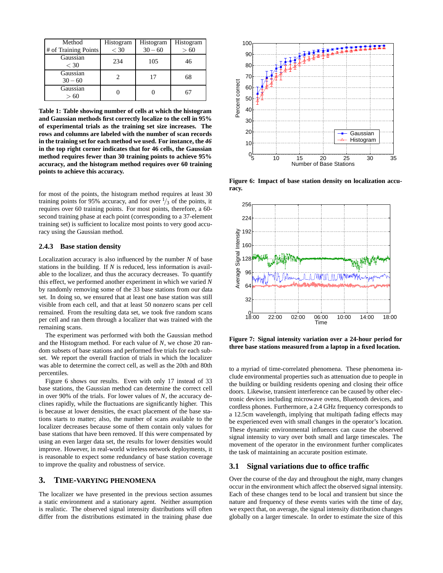| Method                | Histogram | Histogram | Histogram |
|-----------------------|-----------|-----------|-----------|
| # of Training Points  | $<$ 30    | $30 - 60$ | > 60      |
| Gaussian<br>$<$ 30    | 234       | 105       | 46        |
| Gaussian<br>$30 - 60$ |           | 17        | 68        |
| Gaussian<br>60        |           |           | 67        |

**Table 1: Table showing number of cells at which the histogram and Gaussian methods first correctly localize to the cell in 95% of experimental trials as the training set size increases. The rows and columns are labeled with the number of scan records in the training set for each method we used. For instance, the** *46* **in the top right corner indicates that for 46 cells, the Gaussian method requires fewer than 30 training points to achieve 95% accuracy, and the histogram method requires over 60 training points to achieve this accuracy.**

for most of the points, the histogram method requires at least 30 training points for 95% accuracy, and for over  $\frac{1}{3}$  of the points, it requires over 60 training points. For most points, therefore, a 60 second training phase at each point (corresponding to a 37-element training set) is sufficient to localize most points to very good accuracy using the Gaussian method.

## **2.4.3 Base station density**

Localization accuracy is also influenced by the number *N* of base stations in the building. If *N* is reduced, less information is available to the localizer, and thus the accuracy decreases. To quantify this effect, we performed another experiment in which we varied *N* by randomly removing some of the 33 base stations from our data set. In doing so, we ensured that at least one base station was still visible from each cell, and that at least 50 nonzero scans per cell remained. From the resulting data set, we took five random scans per cell and ran them through a localizer that was trained with the remaining scans.

The experiment was performed with both the Gaussian method and the Histogram method. For each value of *N*, we chose 20 random subsets of base stations and performed five trials for each subset. We report the overall fraction of trials in which the localizer was able to determine the correct cell, as well as the 20th and 80th percentiles.

Figure 6 shows our results. Even with only 17 instead of 33 base stations, the Gaussian method can determine the correct cell in over 90% of the trials. For lower values of *N*, the accuracy declines rapidly, while the fluctuations are significantly higher. This is because at lower densities, the exact placement of the base stations starts to matter; also, the number of scans available to the localizer decreases because some of them contain only values for base stations that have been removed. If this were compensated by using an even larger data set, the results for lower densities would improve. However, in real-world wireless network deployments, it is reasonable to expect some redundancy of base station coverage to improve the quality and robustness of service.

#### **3. TIME-VARYING PHENOMENA**

The localizer we have presented in the previous section assumes a static environment and a stationary agent. Neither assumption is realistic. The observed signal intensity distributions will often differ from the distributions estimated in the training phase due



**Figure 6: Impact of base station density on localization accuracy.**



**Figure 7: Signal intensity variation over a 24-hour period for three base stations measured from a laptop in a fixed location.**

to a myriad of time-correlated phenomena. These phenomena include environmental properties such as attenuation due to people in the building or building residents opening and closing their office doors. Likewise, transient interference can be caused by other electronic devices including microwave ovens, Bluetooth devices, and cordless phones. Furthermore, a 2.4 GHz frequency corresponds to a 12.5cm wavelength, implying that multipath fading effects may be experienced even with small changes in the operator's location. These dynamic environmental influences can cause the observed signal intensity to vary over both small and large timescales. The movement of the operator in the environment further complicates the task of maintaining an accurate position estimate.

#### **3.1 Signal variations due to office traffic**

Over the course of the day and throughout the night, many changes occur in the environment which affect the observed signal intensity. Each of these changes tend to be local and transient but since the nature and frequency of these events varies with the time of day, we expect that, on average, the signal intensity distribution changes globally on a larger timescale. In order to estimate the size of this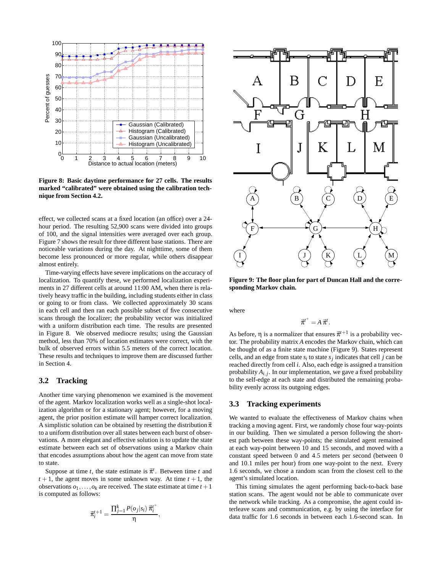

**Figure 8: Basic daytime performance for 27 cells. The results marked "calibrated" were obtained using the calibration technique from Section 4.2.**

effect, we collected scans at a fixed location (an office) over a 24 hour period. The resulting 52,900 scans were divided into groups of 100, and the signal intensities were averaged over each group. Figure 7 shows the result for three different base stations. There are noticeable variations during the day. At nighttime, some of them become less pronounced or more regular, while others disappear almost entirely.

Time-varying effects have severe implications on the accuracy of localization. To quantify these, we performed localization experiments in 27 different cells at around 11:00 AM, when there is relatively heavy traffic in the building, including students either in class or going to or from class. We collected approximately 30 scans in each cell and then ran each possible subset of five consecutive scans through the localizer; the probability vector was initialized with a uniform distribution each time. The results are presented in Figure 8. We observed mediocre results; using the Gaussian method, less than 70% of location estimates were correct, with the bulk of observed errors within 5.5 meters of the correct location. These results and techniques to improve them are discussed further in Section 4.

# **3.2 Tracking**

Another time varying phenomenon we examined is the movement of the agent. Markov localization works well as a single-shot localization algorithm or for a stationary agent; however, for a moving agent, the prior position estimate will hamper correct localization. A simplistic solution can be obtained by resetting the distribution  $\vec{\pi}$ to a uniform distribution over all states between each burst of observations. A more elegant and effective solution is to update the state estimate between each set of observations using a Markov chain that encodes assumptions about how the agent can move from state to state.

Suppose at time *t*, the state estimate is  $\vec{\pi}^t$ . Between time *t* and  $t+1$ , the agent moves in some unknown way. At time  $t+1$ , the observations  $o_1, \ldots, o_k$  are received. The state estimate at time  $t+1$ is computed as follows:

$$
\vec{\pi}_i^{t+1} = \frac{\prod_{j=1}^k P(o_j|s_i) \, \vec{\pi}_i^{t^+}}{\eta},
$$



**Figure 9: The floor plan for part of Duncan Hall and the corresponding Markov chain.**

where

$$
\vec{\pi}^{t^+} = A \, \vec{\pi}^t.
$$

As before,  $\eta$  is a normalizer that ensures  $\vec{\pi}^{t+1}$  is a probability vector. The probability matrix *A* encodes the Markov chain, which can be thought of as a finite state machine (Figure 9). States represent cells, and an edge from state  $s_i$  to state  $s_j$  indicates that cell *j* can be reached directly from cell *i*. Also, each edge is assigned a transition probability  $A_{i,j}$ . In our implementation, we gave a fixed probability to the self-edge at each state and distributed the remaining probability evenly across its outgoing edges.

# **3.3 Tracking experiments**

We wanted to evaluate the effectiveness of Markov chains when tracking a moving agent. First, we randomly chose four way-points in our building. Then we simulated a person following the shortest path between these way-points; the simulated agent remained at each way-point between 10 and 15 seconds, and moved with a constant speed between 0 and 4.5 meters per second (between 0 and 10.1 miles per hour) from one way-point to the next. Every 1.6 seconds, we chose a random scan from the closest cell to the agent's simulated location.

This timing simulates the agent performing back-to-back base station scans. The agent would not be able to communicate over the network while tracking. As a compromise, the agent could interleave scans and communication, e.g. by using the interface for data traffic for 1.6 seconds in between each 1.6-second scan. In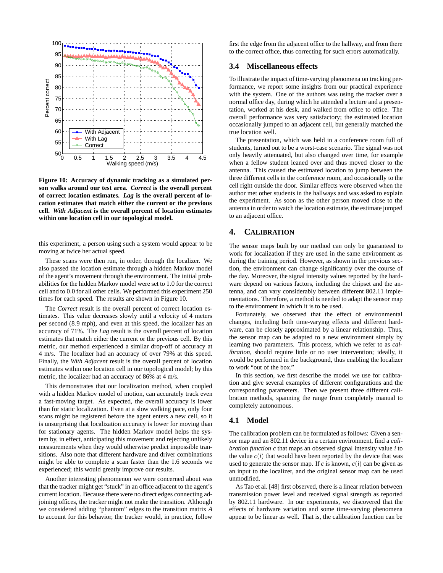

**Figure 10: Accuracy of dynamic tracking as a simulated person walks around our test area.** *Correct* **is the overall percent of correct location estimates.** *Lag* **is the overall percent of location estimates that match either the current or the previous cell.** *With Adjacent* **is the overall percent of location estimates within one location cell in our topological model.**

this experiment, a person using such a system would appear to be moving at twice her actual speed.

These scans were then run, in order, through the localizer. We also passed the location estimate through a hidden Markov model of the agent's movement through the environment. The initial probabilities for the hidden Markov model were set to 1.0 for the correct cell and to 0.0 for all other cells. We performed this experiment 250 times for each speed. The results are shown in Figure 10.

The *Correct* result is the overall percent of correct location estimates. This value decreases slowly until a velocity of 4 meters per second (8.9 mph), and even at this speed, the localizer has an accuracy of 71%. The *Lag* result is the overall percent of location estimates that match either the current or the previous cell. By this metric, our method experienced a similar drop-off of accuracy at 4 m/s. The localizer had an accuracy of over 79% at this speed. Finally, the *With Adjacent* result is the overall percent of location estimates within one location cell in our topological model; by this metric, the localizer had an accuracy of 86% at 4 m/s.

This demonstrates that our localization method, when coupled with a hidden Markov model of motion, can accurately track even a fast-moving target. As expected, the overall accuracy is lower than for static localization. Even at a slow walking pace, only four scans might be registered before the agent enters a new cell, so it is unsurprising that localization accuracy is lower for moving than for stationary agents. The hidden Markov model helps the system by, in effect, anticipating this movement and rejecting unlikely measurements when they would otherwise predict impossible transitions. Also note that different hardware and driver combinations might be able to complete a scan faster than the 1.6 seconds we experienced; this would greatly improve our results.

Another interesting phenomenon we were concerned about was that the tracker might get "stuck" in an office adjacent to the agent's current location. Because there were no direct edges connecting adjoining offices, the tracker might not make the transition. Although we considered adding "phantom" edges to the transition matrix *A* to account for this behavior, the tracker would, in practice, follow

first the edge from the adjacent office to the hallway, and from there to the correct office, thus correcting for such errors automatically.

## **3.4 Miscellaneous effects**

To illustrate the impact of time-varying phenomena on tracking performance, we report some insights from our practical experience with the system. One of the authors was using the tracker over a normal office day, during which he attended a lecture and a presentation, worked at his desk, and walked from office to office. The overall performance was very satisfactory; the estimated location occasionally jumped to an adjacent cell, but generally matched the true location well.

The presentation, which was held in a conference room full of students, turned out to be a worst-case scenario. The signal was not only heavily attenuated, but also changed over time, for example when a fellow student leaned over and thus moved closer to the antenna. This caused the estimated location to jump between the three different cells in the conference room, and occasionally to the cell right outside the door. Similar effects were observed when the author met other students in the hallways and was asked to explain the experiment. As soon as the other person moved close to the antenna in order to watch the location estimate, the estimate jumped to an adjacent office.

# **4. CALIBRATION**

The sensor maps built by our method can only be guaranteed to work for localization if they are used in the same environment as during the training period. However, as shown in the previous section, the environment can change significantly over the course of the day. Moreover, the signal intensity values reported by the hardware depend on various factors, including the chipset and the antenna, and can vary considerably between different 802.11 implementations. Therefore, a method is needed to adapt the sensor map to the environment in which it is to be used.

Fortunately, we observed that the effect of environmental changes, including both time-varying effects and different hardware, can be closely approximated by a linear relationship. Thus, the sensor map can be adapted to a new environment simply by learning two parameters. This process, which we refer to as *calibration*, should require little or no user intervention; ideally, it would be performed in the background, thus enabling the localizer to work "out of the box."

In this section, we first describe the model we use for calibration and give several examples of different configurations and the corresponding parameters. Then we present three different calibration methods, spanning the range from completely manual to completely autonomous.

## **4.1 Model**

The calibration problem can be formulated as follows: Given a sensor map and an 802.11 device in a certain environment, find a *calibration function c* that maps an observed signal intensity value *i* to the value  $c(i)$  that would have been reported by the device that was used to generate the sensor map. If  $c$  is known,  $c(i)$  can be given as an input to the localizer, and the original sensor map can be used unmodified.

As Tao et al. [48] first observed, there is a linear relation between transmission power level and received signal strength as reported by 802.11 hardware. In our experiments, we discovered that the effects of hardware variation and some time-varying phenomena appear to be linear as well. That is, the calibration function can be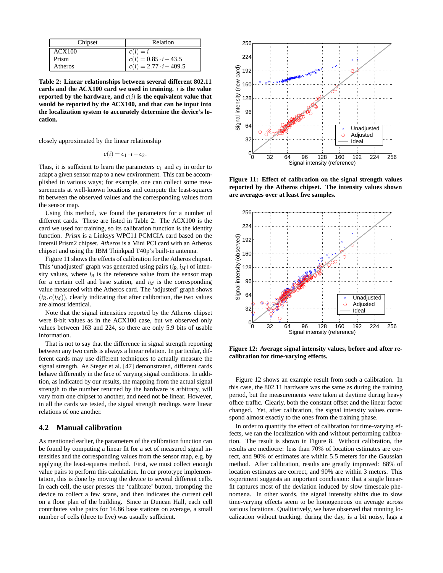| Chipset | Relation                      |  |
|---------|-------------------------------|--|
| ACX100  | $c(i) = i$                    |  |
| Prism   | $c(i) = 0.85 \cdot i - 43.5$  |  |
| Atheros | $c(i) = 2.77 \cdot i - 409.5$ |  |

**Table 2: Linear relationships between several different 802.11 cards and the ACX100 card we used in training.** *i* **is the value reported by the hardware, and**  $c(i)$  is the equivalent value that **would be reported by the ACX100, and that can be input into the localization system to accurately determine the device's location.**

closely approximated by the linear relationship

$$
c(i) = c_1 \cdot i - c_2.
$$

Thus, it is sufficient to learn the parameters  $c_1$  and  $c_2$  in order to adapt a given sensor map to a new environment. This can be accomplished in various ways; for example, one can collect some measurements at well-known locations and compute the least-squares fit between the observed values and the corresponding values from the sensor map.

Using this method, we found the parameters for a number of different cards. These are listed in Table 2. The ACX100 is the card we used for training, so its calibration function is the identity function. *Prism* is a Linksys WPC11 PCMCIA card based on the Intersil Prism2 chipset. *Atheros* is a Mini PCI card with an Atheros chipset and using the IBM Thinkpad T40p's built-in antenna.

Figure 11 shows the effects of calibration for the Atheros chipset. This 'unadjusted' graph was generated using pairs  $(i_R, i_M)$  of intensity values, where  $i_R$  is the reference value from the sensor map for a certain cell and base station, and  $i_M$  is the corresponding value measured with the Atheros card. The 'adjusted' graph shows  $(i_R, c(i_M))$ , clearly indicating that after calibration, the two values are almost identical.

Note that the signal intensities reported by the Atheros chipset were 8-bit values as in the ACX100 case, but we observed only values between 163 and 224, so there are only 5.9 bits of usable information.

That is not to say that the difference in signal strength reporting between any two cards is always a linear relation. In particular, different cards may use different techniques to actually measure the signal strength. As Steger et al. [47] demonstrated, different cards behave differently in the face of varying signal conditions. In addition, as indicated by our results, the mapping from the actual signal strength to the number returned by the hardware is arbitrary, will vary from one chipset to another, and need not be linear. However, in all the cards we tested, the signal strength readings were linear relations of one another.

## **4.2 Manual calibration**

As mentioned earlier, the parameters of the calibration function can be found by computing a linear fit for a set of measured signal intensities and the corresponding values from the sensor map, e.g. by applying the least-squares method. First, we must collect enough value pairs to perform this calculation. In our prototype implementation, this is done by moving the device to several different cells. In each cell, the user presses the 'calibrate' button, prompting the device to collect a few scans, and then indicates the current cell on a floor plan of the building. Since in Duncan Hall, each cell contributes value pairs for 14.86 base stations on average, a small number of cells (three to five) was usually sufficient.



**Figure 11: Effect of calibration on the signal strength values reported by the Atheros chipset. The intensity values shown are averages over at least five samples.**



**Figure 12: Average signal intensity values, before and after recalibration for time-varying effects.**

Figure 12 shows an example result from such a calibration. In this case, the 802.11 hardware was the same as during the training period, but the measurements were taken at daytime during heavy office traffic. Clearly, both the constant offset and the linear factor changed. Yet, after calibration, the signal intensity values correspond almost exactly to the ones from the training phase.

In order to quantify the effect of calibration for time-varying effects, we ran the localization with and without performing calibration. The result is shown in Figure 8. Without calibration, the results are mediocre: less than 70% of location estimates are correct, and 90% of estimates are within 5.5 meters for the Gaussian method. After calibration, results are greatly improved: 88% of location estimates are correct, and 90% are within 3 meters. This experiment suggests an important conclusion: that a single linearfit captures most of the deviation induced by slow timescale phenomena. In other words, the signal intensity shifts due to slow time-varying effects seem to be homogeneous on average across various locations. Qualitatively, we have observed that running localization without tracking, during the day, is a bit noisy, lags a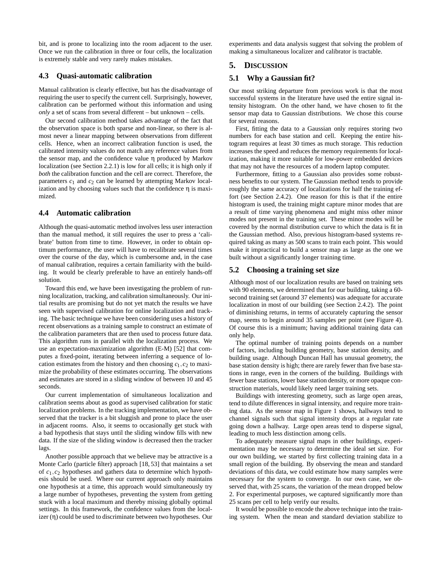bit, and is prone to localizing into the room adjacent to the user. Once we run the calibration in three or four cells, the localization is extremely stable and very rarely makes mistakes.

## **4.3 Quasi-automatic calibration**

Manual calibration is clearly effective, but has the disadvantage of requiring the user to specify the current cell. Surprisingly, however, calibration can be performed without this information and using *only* a set of scans from several different – but unknown – cells.

Our second calibration method takes advantage of the fact that the observation space is both sparse and non-linear, so there is almost never a linear mapping between observations from different cells. Hence, when an incorrect calibration function is used, the calibrated intensity values do not match any reference values from the sensor map, and the confidence value η produced by Markov localization (see Section 2.2.1) is low for all cells; it is high only if *both* the calibration function and the cell are correct. Therefore, the parameters  $c_1$  and  $c_2$  can be learned by attempting Markov localization and by choosing values such that the confidence  $\eta$  is maximized.

#### **4.4 Automatic calibration**

Although the quasi-automatic method involves less user interaction than the manual method, it still requires the user to press a 'calibrate' button from time to time. However, in order to obtain optimum performance, the user will have to recalibrate several times over the course of the day, which is cumbersome and, in the case of manual calibration, requires a certain familiarity with the building. It would be clearly preferable to have an entirely hands-off solution.

Toward this end, we have been investigating the problem of running localization, tracking, and calibration simultaneously. Our initial results are promising but do not yet match the results we have seen with supervised calibration for online localization and tracking. The basic technique we have been considering uses a history of recent observations as a training sample to construct an estimate of the calibration parameters that are then used to process future data. This algorithm runs in parallel with the localization process. We use an expectation-maximization algorithm (E-M) [52] that computes a fixed-point, iterating between inferring a sequence of location estimates from the history and then choosing  $c_1$ ,  $c_2$  to maximize the probability of these estimates occurring. The observations and estimates are stored in a sliding window of between 10 and 45 seconds.

Our current implementation of simultaneous localization and calibration seems about as good as supervised calibration for static localization problems. In the tracking implementation, we have observed that the tracker is a bit sluggish and prone to place the user in adjacent rooms. Also, it seems to occasionally get stuck with a bad hypothesis that stays until the sliding window fills with new data. If the size of the sliding window is decreased then the tracker lags.

Another possible approach that we believe may be attractive is a Monte Carlo (particle filter) approach [18, 53] that maintains a set of *c*1,*c*<sup>2</sup> hypotheses and gathers data to determine which hypothesis should be used. Where our current approach only maintains one hypothesis at a time, this approach would simultaneously try a large number of hypotheses, preventing the system from getting stuck with a local maximum and thereby missing globally optimal settings. In this framework, the confidence values from the localizer (η) could be used to discriminate between two hypotheses. Our experiments and data analysis suggest that solving the problem of making a simultaneous localizer and calibrator is tractable.

## **5. DISCUSSION**

#### **5.1 Why a Gaussian fit?**

Our most striking departure from previous work is that the most successful systems in the literature have used the entire signal intensity histogram. On the other hand, we have chosen to fit the sensor map data to Gaussian distributions. We chose this course for several reasons.

First, fitting the data to a Gaussian only requires storing two numbers for each base station and cell. Keeping the entire histogram requires at least 30 times as much storage. This reduction increases the speed and reduces the memory requirements for localization, making it more suitable for low-power embedded devices that may not have the resources of a modern laptop computer.

Furthermore, fitting to a Gaussian also provides some robustness benefits to our system. The Gaussian method tends to provide roughly the same accuracy of localizations for half the training effort (see Section 2.4.2). One reason for this is that if the entire histogram is used, the training might capture minor modes that are a result of time varying phenomena and might miss other minor modes not present in the training set. These minor modes will be covered by the normal distribution curve to which the data is fit in the Gaussian method. Also, previous histogram-based systems required taking as many as 500 scans to train each point. This would make it impractical to build a sensor map as large as the one we built without a significantly longer training time.

# **5.2 Choosing a training set size**

Although most of our localization results are based on training sets with 90 elements, we determined that for our building, taking a 60 second training set (around 37 elements) was adequate for accurate localization in most of our building (see Section 2.4.2). The point of diminishing returns, in terms of accurately capturing the sensor map, seems to begin around 35 samples per point (see Figure 4). Of course this is a minimum; having additional training data can only help.

The optimal number of training points depends on a number of factors, including building geometry, base station density, and building usage. Although Duncan Hall has unusual geometry, the base station density is high; there are rarely fewer than five base stations in range, even in the corners of the building. Buildings with fewer base stations, lower base station density, or more opaque construction materials, would likely need larger training sets.

Buildings with interesting geometry, such as large open areas, tend to dilute differences in signal intensity, and require more training data. As the sensor map in Figure 1 shows, hallways tend to channel signals such that signal intensity drops at a regular rate going down a hallway. Large open areas tend to disperse signal, leading to much less distinction among cells.

To adequately measure signal maps in other buildings, experimentation may be necessary to determine the ideal set size. For our own building, we started by first collecting training data in a small region of the building. By observing the mean and standard deviations of this data, we could estimate how many samples were necessary for the system to converge. In our own case, we observed that, with 25 scans, the variation of the mean dropped below 2. For experimental purposes, we captured significantly more than 25 scans per cell to help verify our results.

It would be possible to encode the above technique into the training system. When the mean and standard deviation stabilize to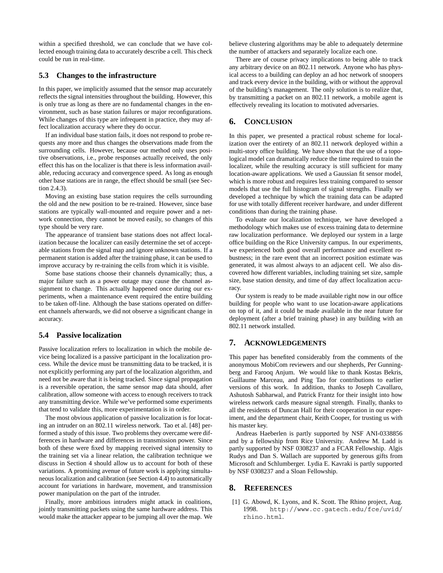within a specified threshold, we can conclude that we have collected enough training data to accurately describe a cell. This check could be run in real-time.

# **5.3 Changes to the infrastructure**

In this paper, we implicitly assumed that the sensor map accurately reflects the signal intensities throughout the building. However, this is only true as long as there are no fundamental changes in the environment, such as base station failures or major reconfigurations. While changes of this type are infrequent in practice, they may affect localization accuracy where they do occur.

If an individual base station fails, it does not respond to probe requests any more and thus changes the observations made from the surrounding cells. However, because our method only uses positive observations, i.e., probe responses actually received, the only effect this has on the localizer is that there is less information available, reducing accuracy and convergence speed. As long as enough other base stations are in range, the effect should be small (see Section 2.4.3).

Moving an existing base station requires the cells surrounding the old and the new position to be re-trained. However, since base stations are typically wall-mounted and require power and a network connection, they cannot be moved easily, so changes of this type should be very rare.

The appearance of transient base stations does not affect localization because the localizer can easily determine the set of acceptable stations from the signal map and ignore unknown stations. If a permanent station is added after the training phase, it can be used to improve accuracy by re-training the cells from which it is visible.

Some base stations choose their channels dynamically; thus, a major failure such as a power outage may cause the channel assignment to change. This actually happened once during our experiments, when a maintenance event required the entire building to be taken off-line. Although the base stations operated on different channels afterwards, we did not observe a significant change in accuracy.

# **5.4 Passive localization**

Passive localization refers to localization in which the mobile device being localized is a passive participant in the localization process. While the device must be transmitting data to be tracked, it is not explicitly performing any part of the localization algorithm, and need not be aware that it is being tracked. Since signal propagation is a reversible operation, the same sensor map data should, after calibration, allow someone with access to enough receivers to track any transmitting device. While we've performed some experiments that tend to validate this, more experimentation is in order.

The most obvious application of passive localization is for locating an intruder on an 802.11 wireless network. Tao et al. [48] performed a study of this issue. Two problems they overcame were differences in hardware and differences in transmission power. Since both of these were fixed by mapping received signal intensity to the training set via a linear relation, the calibration technique we discuss in Section 4 should allow us to account for both of these variations. A promising avenue of future work is applying simultaneous localization and calibration (see Section 4.4) to automatically account for variations in hardware, movement, and transmission power manipulation on the part of the intruder.

Finally, more ambitious intruders might attack in coalitions, jointly transmitting packets using the same hardware address. This would make the attacker appear to be jumping all over the map. We believe clustering algorithms may be able to adequately determine the number of attackers and separately localize each one.

There are of course privacy implications to being able to track any arbitrary device on an 802.11 network. Anyone who has physical access to a building can deploy an ad hoc network of snoopers and track every device in the building, with or without the approval of the building's management. The only solution is to realize that, by transmitting a packet on an 802.11 network, a mobile agent is effectively revealing its location to motivated adversaries.

# **6. CONCLUSION**

In this paper, we presented a practical robust scheme for localization over the entirety of an 802.11 network deployed within a multi-story office building. We have shown that the use of a topological model can dramatically reduce the time required to train the localizer, while the resulting accuracy is still sufficient for many location-aware applications. We used a Gaussian fit sensor model, which is more robust and requires less training compared to sensor models that use the full histogram of signal strengths. Finally we developed a technique by which the training data can be adapted for use with totally different receiver hardware, and under different conditions than during the training phase.

To evaluate our localization technique, we have developed a methodology which makes use of excess training data to determine raw localization performance. We deployed our system in a large office building on the Rice University campus. In our experiments, we experienced both good overall performance and excellent robustness; in the rare event that an incorrect position estimate was generated, it was almost always to an adjacent cell. We also discovered how different variables, including training set size, sample size, base station density, and time of day affect localization accuracy.

Our system is ready to be made available right now in our office building for people who want to use location-aware applications on top of it, and it could be made available in the near future for deployment (after a brief training phase) in any building with an 802.11 network installed.

# **7. ACKNOWLEDGEMENTS**

This paper has benefited considerably from the comments of the anonymous MobiCom reviewers and our shepherds, Per Gunningberg and Farooq Anjum. We would like to thank Kostas Bekris, Guillaume Marceau, and Ping Tao for contributions to earlier versions of this work. In addition, thanks to Joseph Cavallaro, Ashutosh Sabharwal, and Patrick Frantz for their insight into how wireless network cards measure signal strength. Finally, thanks to all the residents of Duncan Hall for their cooperation in our experiment, and the department chair, Keith Cooper, for trusting us with his master key.

Andreas Haeberlen is partly supported by NSF ANI-0338856 and by a fellowship from Rice University. Andrew M. Ladd is partly supported by NSF 0308237 and a FCAR Fellowship. Algis Rudys and Dan S. Wallach are supported by generous gifts from Microsoft and Schlumberger. Lydia E. Kavraki is partly supported by NSF 0308237 and a Sloan Fellowship.

# **8. REFERENCES**

[1] G. Abowd, K. Lyons, and K. Scott. The Rhino project, Aug. 1998. http://www.cc.gatech.edu/fce/uvid/ rhino.html.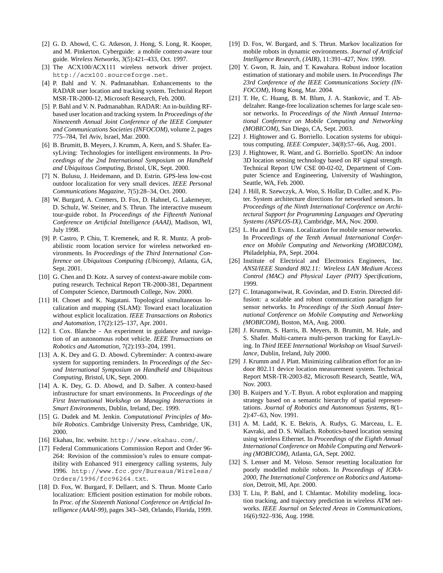- [2] G. D. Abowd, C. G. Atkeson, J. Hong, S. Long, R. Kooper, and M. Pinkerton. Cyberguide: a mobile context-aware tour guide. *Wireless Networks*, 3(5):421–433, Oct. 1997.
- [3] The ACX100/ACX111 wireless network driver project. http://acx100.sourceforge.net.
- [4] P. Bahl and V. N. Padmanabhan. Enhancements to the RADAR user location and tracking system. Technical Report MSR-TR-2000-12, Microsoft Research, Feb. 2000.
- [5] P. Bahl and V. N. Padmanabhan. RADAR: An in-building RFbased user location and tracking system. In *Proceedings of the Nineteenth Annual Joint Conference of the IEEE Computer and Communications Societies (INFOCOM)*, volume 2, pages 775–784, Tel Aviv, Israel, Mar. 2000.
- [6] B. Brumitt, B. Meyers, J. Krumm, A. Kern, and S. Shafer. EasyLiving: Technologies for intelligent environments. In *Proceedings of the 2nd International Symposium on Handheld and Ubiquitous Computing*, Bristol, UK, Sept. 2000.
- [7] N. Bulusu, J. Heidemann, and D. Estrin. GPS-less low-cost outdoor localization for very small devices. *IEEE Personal Communications Magazine*, 7(5):28–34, Oct. 2000.
- [8] W. Burgard, A. Cremers, D. Fox, D. Hahnel, G. Lakemeyer, D. Schulz, W. Steiner, and S. Thrun. The interactive museum tour-guide robot. In *Proceedings of the Fifteenth National Conference on Artificial Intelligence (AAAI)*, Madison, WI, July 1998.
- [9] P. Castro, P. Chiu, T. Kremenek, and R. R. Muntz. A probabilistic room location service for wireless networked environments. In *Proceedings of the Third International Conference on Ubiquitous Computing (Ubicomp)*, Atlanta, GA, Sept. 2001.
- [10] G. Chen and D. Kotz. A survey of context-aware mobile computing research. Technical Report TR-2000-381, Department of Computer Science, Dartmouth College, Nov. 2000.
- [11] H. Choset and K. Nagatani. Topological simultaneous localization and mapping (SLAM): Toward exact localization without explicit localization. *IEEE Transactions on Robotics and Automation*, 17(2):125–137, Apr. 2001.
- [12] I. Cox. Blanche An experiment in guidance and navigation of an autonomous robot vehicle. *IEEE Transactions on Robotics and Automation*, 7(2):193–204, 1991.
- [13] A. K. Dey and G. D. Abowd. Cybreminder: A context-aware system for supporting reminders. In *Proceedings of the Second International Symposium on Handheld and Ubiquitous Computing*, Bristol, UK, Sept. 2000.
- [14] A. K. Dey, G. D. Abowd, and D. Salber. A context-based infrastructure for smart environments. In *Proceedings of the First International Workshop on Managing Interactions in Smart Environments*, Dublin, Ireland, Dec. 1999.
- [15] G. Dudek and M. Jenkin. *Computational Principles of Mobile Robotics*. Cambridge University Press, Cambridge, UK, 2000.
- [16] Ekahau, Inc. website. http://www.ekahau.com/.
- [17] Federal Communications Commission Report and Order 96-264: Revision of the commission's rules to ensure compatibility with Enhanced 911 emergency calling systems, July 1996. http://www.fcc.gov/Bureaus/Wireless/ Orders/1996/fcc96264.txt.
- [18] D. Fox, W. Burgard, F. Dellaert, and S. Thrun. Monte Carlo localization: Efficient position estimation for mobile robots. In *Proc. of the Sixteenth National Conference on Artificial Intelligence (AAAI-99)*, pages 343–349, Orlando, Florida, 1999.
- [19] D. Fox, W. Burgard, and S. Thrun. Markov localization for mobile robots in dynamic environments. *Journal of Artificial Intelligence Research, (JAIR)*, 11:391–427, Nov. 1999.
- [20] Y. Gwon, R. Jain, and T. Kawahara. Robust indoor location estimation of stationary and mobile users. In *Proceedings The 23rd Conference of the IEEE Communications Society (IN-FOCOM)*, Hong Kong, Mar. 2004.
- [21] T. He, C. Huang, B. M. Blum, J. A. Stankovic, and T. Abdelzaher. Range-free localization schemes for large scale sensor networks. In *Proceedings of the Ninth Annual International Conference on Mobile Computing and Networking (MOBICOM)*, San Diego, CA, Sept. 2003.
- [22] J. Hightower and G. Borriello. Location systems for ubiquitous computing. *IEEE Computer*, 34(8):57–66, Aug. 2001.
- [23] J. Hightower, R. Want, and G. Borriello. SpotON: An indoor 3D location sensing technology based on RF signal strength. Technical Report UW CSE 00-02-02, Department of Computer Science and Engineering, University of Washington, Seattle, WA, Feb. 2000.
- [24] J. Hill, R. Szewczyk, A. Woo, S. Hollar, D. Culler, and K. Pister. System architecture directions for networked sensors. In *Proceedings of the Ninth International Conference on Architectural Support for Programming Languages and Operating Systems (ASPLOS-IX)*, Cambridge, MA, Nov. 2000.
- [25] L. Hu and D. Evans. Localization for mobile sensor networks. In *Proceedings of the Tenth Annual International Conference on Mobile Computing and Networking (MOBICOM)*, Philadelphia, PA, Sept. 2004.
- [26] Institute of Electrical and Electronics Engineers, Inc. *ANSI/IEEE Standard 802.11: Wireless LAN Medium Access Control (MAC) and Physical Layer (PHY) Specifications*, 1999.
- [27] C. Intanagonwiwat, R. Govindan, and D. Estrin. Directed diffusion: a scalable and robust communication paradigm for sensor networks. In *Proceedings of the Sixth Annual International Conference on Mobile Computing and Networking (MOBICOM)*, Boston, MA, Aug. 2000.
- [28] J. Krumm, S. Harris, B. Meyers, B. Brumitt, M. Hale, and S. Shafer. Multi-camera multi-person tracking for EasyLiving. In *Third IEEE International Workshop on Visual Surveillance*, Dublin, Ireland, July 2000.
- [29] J. Krumm and J. Platt. Minimizing calibration effort for an indoor 802.11 device location measurement system. Technical Report MSR-TR-2003-82, Microsoft Research, Seattle, WA, Nov. 2003.
- [30] B. Kuipers and Y.-T. Byun. A robot exploration and mapping strategy based on a semantic hierarchy of spatial representations. *Journal of Robotics and Autonomous Systems*, 8(1– 2):47–63, Nov. 1991.
- [31] A. M. Ladd, K. E. Bekris, A. Rudys, G. Marceau, L. E. Kavraki, and D. S. Wallach. Robotics-based location sensing using wireless Ethernet. In *Proceedings of the Eighth Annual International Conference on Mobile Computing and Networking (MOBICOM)*, Atlanta, GA, Sept. 2002.
- [32] S. Lenser and M. Veloso. Sensor resetting localization for poorly modelled mobile robots. In *Proceedings of ICRA-2000, The International Conference on Robotics and Automation*, Detroit, MI, Apr. 2000.
- [33] T. Liu, P. Bahl, and I. Chlamtac. Mobility modeling, location tracking, and trajectory prediction in wireless ATM networks. *IEEE Journal on Selected Areas in Communications*, 16(6):922–936, Aug. 1998.